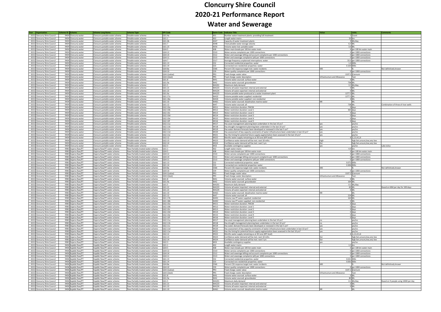| Year <b>Organisation</b>                                     | Scheme ID Scheme |                                              | <b>Scheme Long Name</b>        | <b>Scheme Type</b>                                                       | <b>KPI Code</b>  |                            | Swim Code   Indicator Title                                                                        | Value                        | <b>Units</b>                      | <b>Comments</b>                       |
|--------------------------------------------------------------|------------------|----------------------------------------------|--------------------------------|--------------------------------------------------------------------------|------------------|----------------------------|----------------------------------------------------------------------------------------------------|------------------------------|-----------------------------------|---------------------------------------|
| 2021 Cloncurry Shire Council                                 |                  | 9404 Cloncurry water                         | Cloncurry potable water scheme | Potable water scheme                                                     | QG1.4a           | AS1                        | Number water treatment plants: providing full treatment                                            |                              | 1 Count                           |                                       |
| 2021 Cloncurry Shire Council                                 |                  | 9404 Cloncurry water                         | Cloncurry potable water scheme | Potable water scheme                                                     | QG1.1            | AS2                        | Length water mains                                                                                 |                              | 50 km                             |                                       |
| 2021                                                         |                  | 9404 Cloncurry water                         |                                |                                                                          | QG1.4b           | AS47                       | Capacity of water treatment plants                                                                 |                              | 9 ML/day                          |                                       |
| Cloncurry Shire Council                                      |                  | 9404 Cloncurry water                         | Cloncurry potable water scheme | Potable water scheme                                                     | QG1.7            |                            |                                                                                                    |                              | 6.3 ML                            |                                       |
| 2021 Cloncurry Shire Council                                 |                  |                                              | Cloncurry potable water scheme | Potable water scheme                                                     |                  | AS48                       | Total potable water storage volume                                                                 |                              |                                   |                                       |
| 2021 Cloncurry Shire Council                                 |                  | 9404 Cloncurry water                         | Cloncurry potable water scheme | Potable water scheme                                                     | QG1.23           | AS56                       | Volume water lost: potable water                                                                   |                              | 3.6 ML                            |                                       |
| 2021 Cloncurry Shire Council                                 |                  | 9404 Cloncurry water                         | Cloncurry potable water scheme | Potable water scheme                                                     | QG4.5            | AS8                        | Water main breaks per 100 km water main                                                            |                              | 6 per 100 km water main           |                                       |
| 2021 Cloncurry Shire Council                                 |                  | 9404 Cloncurry water                         | Cloncurry potable water scheme | Potable water scheme                                                     | QG4.12           | CS10                       | Water service complaints per 1000 connections                                                      |                              | per 1000 connections              |                                       |
| 2021 Cloncurry Shire Council                                 |                  | 9404 Cloncurry water                         | Cloncurry potable water scheme | Potable water scheme                                                     | QG4.14           | CS12                       | Water and sewerage billing and account complaints per 1000 connections                             |                              | per 1000 connections              |                                       |
| 2021 Cloncurry Shire Council                                 |                  | 9404 Cloncurry water                         | Cloncurry potable water scheme | Potable water scheme                                                     | QG4.11           | CS13                       | Water and sewerage complaints (all) per 1000 connections                                           |                              | 0 per 1000 connections            |                                       |
| 2021 Cloncurry Shire Council                                 |                  | 9404 Cloncurry water                         | Cloncurry potable water scheme | Potable water scheme                                                     | QG4.7            | CS17                       | Average frequency unplanned interruptions: water                                                   |                              | 33.3 per 1000 connections         |                                       |
| 2021 Cloncurry Shire Council                                 |                  | 9404 Cloncurry water                         | Cloncurry potable water scheme | Potable water scheme                                                     | QG1.13           | CS2                        | Connected residential properties: water                                                            |                              | 1.4 000s                          |                                       |
| 2021 Cloncurry Shire Council                                 |                  | 9404 Cloncurry water                         | Cloncurry potable water scheme | Potable water scheme                                                     | QG1.14           | CS <sub>3</sub>            | Connected non-residential properties: water                                                        |                              | 0.103 000s                        |                                       |
| 2021 Cloncurry Shire Council                                 |                  | 9404 Cloncurry water                         | Cloncurry potable water scheme | Potable water scheme                                                     | QG4.8a           | <b>CS66</b>                | Percent CSS response target met: water incidents                                                   | MD                           |                                   | Not definitively known                |
| 2021 Cloncurry Shire Council                                 |                  | 9404 Cloncurry water                         | Cloncurry potable water scheme | Potable water scheme                                                     | QG4.10           | CS9                        | Water quality complaints per 1000 connections                                                      |                              | 0 per 1000 connections            |                                       |
| 2021 Cloncurry Shire Council                                 |                  | 9404 Cloncurry water                         | Cloncurry potable water scheme | Potable water scheme                                                     | QG4.1(value)     | PR3                        | Fixed charge: water value                                                                          |                              | 1107.2 \$/annum                   |                                       |
| 2021 Cloncurry Shire Council                                 |                  | 9404 Cloncurry water                         | Cloncurry potable water scheme | Potable water scheme                                                     | QG4.1(text)      | PR5                        | Fixed charge: water description                                                                    | Infrastructure and Allowance | Text                              |                                       |
| 2021 Cloncurry Shire Council                                 |                  | 9404 Cloncurry water                         | Cloncurry potable water scheme | Potable water scheme                                                     | QG1.8            | WA1                        | Volume water sourced: surface water                                                                |                              | 0 ML                              |                                       |
| 2021 Cloncurry Shire Council                                 |                  | 9404 Cloncurry water                         | Cloncurry potable water scheme | Potable water scheme                                                     | QG1.9a           | WA2                        | Volume water sourced: groundwater                                                                  |                              | 738 ML                            |                                       |
| 2021 Cloncurry Shire Council                                 |                  | 9404 Cloncurry water                         |                                | Potable water scheme                                                     | QG1.5            | <b>WA201</b>               | Maximum daily demand                                                                               |                              | 3.5 ML/day                        |                                       |
|                                                              |                  |                                              | Cloncurry potable water scheme |                                                                          | QG1.21           | <b>WA223</b>               |                                                                                                    |                              | 0 ML                              |                                       |
| 2021 Cloncurry Shire Council                                 |                  | 9404 Cloncurry water                         | Cloncurry potable water scheme | Potable water scheme                                                     |                  |                            | Volume all water imported: internal and external                                                   |                              |                                   |                                       |
| 2021 Cloncurry Shire Council                                 |                  | 9404 Cloncurry water                         | Cloncurry potable water scheme | Potable water scheme                                                     | QG1.22           | <b>WA224</b>               | Volume all water exported: internal and external                                                   |                              | 0 ML                              |                                       |
| 2021 Cloncurry Shire Council                                 |                  | 9404 Cloncurry water                         | Cloncurry potable water scheme | Potable water scheme                                                     | QG1.6a           | <b>WA225</b>               | Volume potable water produced at a water treatment plant                                           | 1277.5 MI                    |                                   |                                       |
| 2021 Cloncurry Shire Council                                 |                  | 9404 Cloncurry water                         | Cloncurry potable water scheme | Potable water scheme                                                     | QG1.17a          | <b>WA32</b>                | Volume potable water supplied: residential                                                         | 1277.5 ML                    |                                   |                                       |
| 2021 Cloncurry Shire Council                                 |                  | 9404 Cloncurry water                         | Cloncurry potable water scheme | Potable water scheme                                                     | QG1.18a          | <b>WA34</b>                | Volume potable water supplied: non-residential                                                     |                              | 0 ML                              |                                       |
| 2021 Cloncurry Shire Council                                 |                  | 9404 Cloncurry water                         | Cloncurry potable water scheme | Potable water scheme                                                     | QG1.10           | <b>WA61</b>                | Volume water sourced: desalination marine water                                                    | NR                           | <b>IML</b>                        |                                       |
| 2021 Cloncurry Shire Council                                 |                  | 9404 Cloncurry water                         | Cloncurry potable water scheme | Potable water scheme                                                     | QG1.12           | WA7                        | Volume water sourced: all                                                                          |                              | 738 ML                            | Combination of three of river wells   |
| 2021 Cloncurry Shire Council                                 |                  | 9404 Cloncurry water                         | Cloncurry potable water scheme | Potable water scheme                                                     | QG2.10a          | WS11                       | Water restriction duration: PWCM                                                                   |                              | 0 days                            |                                       |
| 2021 Cloncurry Shire Council                                 |                  | 9404 Cloncurry water                         | Cloncurry potable water scheme | Potable water scheme                                                     | QG2.10b          | <b>WS12</b>                | Water restriction duration: Level 1                                                                |                              | 365 days                          |                                       |
| 2021 Cloncurry Shire Council                                 |                  | 9404 Cloncurry water                         | Cloncurry potable water scheme | Potable water scheme                                                     | QG2.10c          | <b>WS13</b>                | Water restriction duration: Level 2                                                                |                              | 0 days                            |                                       |
| 2021 Cloncurry Shire Council                                 |                  | 9404 Cloncurry water                         | Cloncurry potable water scheme | Potable water scheme                                                     | QG2.10d          | <b>WS14</b>                | Water restriction duration: Level 3                                                                |                              | $0$ days                          |                                       |
| 2021 Cloncurry Shire Council                                 |                  | 9404 Cloncurry water                         | Cloncurry potable water scheme | Potable water scheme                                                     | QG2.10e          | <b>WS15</b>                | Water restriction duration: Level 4                                                                |                              | 0 days                            |                                       |
| 2021 Cloncurry Shire Council                                 |                  | 9404 Cloncurry water                         | Cloncurry potable water scheme | Potable water scheme                                                     | QG2.10f          | <b>WS16</b>                | Water restriction duration: Level 5                                                                |                              | days                              |                                       |
| 2021 Cloncurry Shire Council                                 |                  |                                              |                                |                                                                          |                  |                            | Has asset management planning been undertaken in the last 10 yrs?                                  |                              |                                   |                                       |
|                                                              |                  | 9404 Cloncurry water<br>9404 Cloncurry water | Cloncurry potable water scheme | Potable water scheme                                                     | QG2.11a          | <b>WS17</b><br><b>WS18</b> |                                                                                                    |                              | yes/no                            |                                       |
| 2021 Cloncurry Shire Council                                 |                  |                                              | loncurry potable water scheme  | Potable water scheme                                                     | QG2.11b          |                            | Has drought management planning been undertaken in the last 10 yrs?                                |                              | yes/no                            |                                       |
| 2021 Cloncurry Shire Council                                 |                  | 9404 Cloncurry water                         | Cloncurry potable water scheme | Potable water scheme                                                     | QG2.11c          | <b>WS19</b>                | Has water demand forecasts been developed or reviewed in the last 5 yrs?                           |                              | yes/no                            |                                       |
| 2021 Cloncurry Shire Council                                 |                  | 9404 Cloncurry water                         | Cloncurry potable water scheme | Potable water scheme                                                     | QG2.11d          | <b>WS20</b>                | Has assessment of key capacity constraints of water infrastructure been undertaken in last 10 yrs? | PQ                           | yes/no                            |                                       |
| 2021 Cloncurry Shire Council                                 |                  | 9404 Cloncurry water                         | Cloncurry potable water scheme | Potable water scheme                                                     | QG2.11e          | <b>WS21</b>                | Has the timing for potential future supply augmentation been assessed in the last 10 yrs?          |                              | yes/no                            |                                       |
| 2021 Cloncurry Shire Council                                 |                  | 9404 Cloncurry water                         | Cloncurry potable water scheme | Potable water scheme                                                     | QG2.12           | <b>WS22</b>                | Months water supply remaining as at 30 June (KPI level)                                            |                              | 6 1, 2, 3, 4, 5, 6                |                                       |
| 2021 Cloncurry Shire Council                                 |                  | 9404 Cloncurry water                         | Cloncurry potable water scheme | Potable water scheme                                                     | QG2.13           | <b>WS23</b>                | Confidence water demand will be met: next 18 mths                                                  | high                         | high, fair, unsure, low, very low |                                       |
| 2021 Cloncurry Shire Council                                 |                  | 9404 Cloncurry water                         | Cloncurry potable water scheme | Potable water scheme                                                     | QG2.14           | <b>WS24</b>                | Confidence water demand will be met: next 5 yrs                                                    | fair                         | high, fair, unsure, low, very low |                                       |
| 2021 Cloncurry Shire Council                                 |                  | 9404 Cloncurry water                         | Cloncurry potable water scheme | Potable water scheme                                                     | QG2.3            | WS3                        | Available contingency supplies                                                                     | ves                          | ves/no                            | Lake Julius                           |
| 2021 Cloncurry Shire Council                                 |                  | 9983 Dajarra Raw/PT                          | Dajarra Raw/PT water scheme    | Raw-Partially treated water scheme                                       | QG1.1            | AS <sub>2</sub>            | Length water mains                                                                                 |                              | 4.9 km                            |                                       |
| 2021 Cloncurry Shire Council                                 |                  | 9983 Dajarra Raw/PT                          | Dajarra Raw/PT water scheme    | Raw-Partially treated water scheme                                       | QG4.5            | AS8                        | Water main breaks per 100 km water main                                                            |                              | 0 per 100 km water main           |                                       |
| 2021 Cloncurry Shire Council                                 |                  | 9983 Dajarra Raw/PT                          | Dajarra Raw/PT water scheme    | Raw-Partially treated water scheme                                       | QG4.12           | <b>CS10</b>                | Water service complaints per 1000 connections                                                      |                              | 0 per 1000 connections            |                                       |
| 2021 Cloncurry Shire Council                                 |                  | 9983 Dajarra Raw/PT                          | Dajarra Raw/PT water scheme    | Raw-Partially treated water scheme                                       | QG4.14           | CS <sub>12</sub>           | Water and sewerage billing and account complaints per 1000 connections                             |                              | 0 per 1000 connections            |                                       |
|                                                              |                  |                                              |                                |                                                                          |                  |                            |                                                                                                    |                              |                                   |                                       |
| 2021 Cloncurry Shire Council                                 |                  | 9983 Dajarra Raw/PT                          | Dajarra Raw/PT water scheme    | Raw-Partially treated water scheme                                       | QG4.11           | CS13                       | Water and sewerage complaints (all) per 1000 connections                                           |                              | 0 per 1000 connections            |                                       |
| 2021 Cloncurry Shire Council                                 |                  | 9983 Dajarra Raw/PT                          | Dajarra Raw/PT water scheme    | Raw-Partially treated water scheme                                       | 2G1.13           | CS2                        | Connected residential properties: water                                                            |                              | 0.072 000s                        |                                       |
| 2021 Cloncurry Shire Council                                 |                  | 9983 Dajarra Raw/PT                          | Dajarra Raw/PT water scheme    | Raw-Partially treated water scheme                                       | QG1.14           | CS <sub>3</sub>            | Connected non-residential properties: water                                                        |                              | 0.006 000s                        |                                       |
| 2021 Cloncurry Shire Council                                 |                  | 9983 Dajarra Raw/PT                          | Dajarra Raw/PT water scheme    | Raw-Partially treated water scheme                                       | QG4.8a           | <b>CS66</b>                | Percent CSS response target met: water incidents                                                   | MD                           |                                   | Not definitively known                |
| 2021 Cloncurry Shire Council                                 |                  | 9983 Dajarra Raw/PT                          | Dajarra Raw/PT water scheme    | Raw-Partially treated water scheme                                       | QG4.10           | CS9                        | Water quality complaints per 1000 connections                                                      |                              | 0 per 1000 connections            |                                       |
| 2021 Cloncurry Shire Council                                 |                  | 9983 Dajarra Raw/PT                          | Dajarra Raw/PT water scheme    | Raw-Partially treated water scheme                                       | 2G4.1(value)     | PR <sub>3</sub>            | Fixed charge: water value                                                                          |                              | 1107.2 \$/annum                   |                                       |
| 2021 Cloncurry Shire Council                                 |                  | 9983 Dajarra Raw/PT                          | Dajarra Raw/PT water scheme    | Raw-Partially treated water scheme                                       | QG4.1(text)      | PR5                        | Fixed charge: water description                                                                    | nfrastructure and Allowance  | Text                              |                                       |
| 2021<br><b>Cloncurry Shire Council</b>                       |                  | 9983 Dajarra Raw/PT                          | Dajarra Raw/PT water scheme    | Raw-Partially treated water scheme                                       | QG1.8            | WA1                        | Volume water sourced: surface water                                                                |                              | 0 ML                              |                                       |
| 2021 Cloncurry Shire Council                                 |                  | 9983 Dajarra Raw/PT                          | Dajarra Raw/PT water scheme    | Raw-Partially treated water scheme                                       | QG1.9a           | WA2                        | Volume water sourced: groundwater                                                                  |                              | 164 ML                            |                                       |
| 2021 Cloncurry Shire Council                                 |                  | 9983 Dajarra Raw/PT                          | Dajarra Raw/PT water scheme    | Raw-Partially treated water scheme                                       | QG1.5            | WA201                      | Maximum daily demand                                                                               |                              | $0.1$ ML/day                      |                                       |
| 2021 Cloncurry Shire Council                                 |                  | 9983 Daiarra Raw/PT                          | Dajarra Raw/PT water scheme    | Raw-Partially treated water scheme                                       | QG1.21           | <b>WA223</b>               | Volume all water imported: internal and external                                                   |                              | 60 ML                             | Based on 60kl per day for 100 days    |
| 2021 Cloncurry Shire Council                                 |                  | 9983 Daiarra Raw/PT                          | Dajarra Raw/PT water scheme    | Raw-Partially treated water scheme                                       | QG1.22           | <b>WA224</b>               | Volume all water exported: internal and external                                                   |                              | $0$ ML                            |                                       |
| 2021 Cloncurry Shire Council                                 |                  | 9983 Dajarra Raw/PT                          | Dajarra Raw/PT water scheme    | Raw-Partially treated water scheme                                       | QG1.10           | <b>WA61</b>                |                                                                                                    |                              | <b>ML</b>                         |                                       |
|                                                              |                  |                                              |                                |                                                                          |                  |                            | Volume water sourced: desalination marine water                                                    |                              | 224 ML                            |                                       |
| 2021 Cloncurry Shire Council                                 |                  | 9983 Dajarra Raw/PT                          | Dajarra Raw/PT water scheme    | Raw-Partially treated water scheme                                       | QG1.12           | WA7                        | Volume water sourced: all                                                                          |                              |                                   |                                       |
| 2021 Cloncurry Shire Council                                 |                  | 9983 Dajarra Raw/PT                          | Dajarra Raw/PT water scheme    | Raw-Partially treated water scheme                                       | QG1.17b          | <b>WA91</b>                | Volume raw-PT water supplied: residential                                                          |                              | 164 ML                            |                                       |
| 2021 Cloncurry Shire Council                                 |                  | 9983 Dajarra Raw/PT                          | Dajarra Raw/PT water scheme    | Raw-Partially treated water scheme                                       | QG1.18b          | <b>WA92</b>                | Volume raw-PT water supplied: non-residential                                                      |                              | 0 ML                              |                                       |
| 2021 Cloncurry Shire Council                                 |                  | 9983 Dajarra Raw/PT                          | Dajarra Raw/PT water scheme    | Raw-Partially treated water scheme                                       | QG2.10a          | WS11                       | Water restriction duration: PWCM                                                                   |                              | 0 days                            |                                       |
| 2021 Cloncurry Shire Council                                 |                  | 9983 Dajarra Raw/PT                          | Dajarra Raw/PT water scheme    | Raw-Partially treated water scheme                                       | QG2.10b          | <b>WS12</b>                | Water restriction duration: Level 1                                                                |                              | 0 days                            |                                       |
| 2021 Cloncurry Shire Council                                 |                  | 9983 Dajarra Raw/PT                          | Dajarra Raw/PT water scheme    | Raw-Partially treated water scheme                                       | QG2.10c          | <b>WS13</b>                | Water restriction duration: Level 2                                                                |                              | 0 days                            |                                       |
| 2021 Cloncurry Shire Council                                 |                  | 9983 Dajarra Raw/PT                          | Daiarra Raw/PT water scheme    | Raw-Partially treated water scheme                                       | QG2.10d          | <b>WS14</b>                | Water restriction duration: Level 3                                                                |                              | 0 days                            |                                       |
| 2021 Cloncurry Shire Council                                 |                  | 9983 Dajarra Raw/PT                          | Dajarra Raw/PT water scheme    | Raw-Partially treated water scheme                                       | QG2.10e          | <b>WS15</b>                | Water restriction duration: Level 4                                                                |                              | 0 days                            |                                       |
| 2021 Cloncurry Shire Council                                 |                  | 9983 Dajarra Raw/PT                          | Dajarra Raw/PT water scheme    | Raw-Partially treated water scheme                                       | QG2.10f          | <b>WS16</b>                | Water restriction duration: Level 5                                                                |                              | 0 days                            |                                       |
| 2021 Cloncurry Shire Council                                 |                  | 9983 Dajarra Raw/PT                          | Dajarra Raw/PT water scheme    | Raw-Partially treated water scheme                                       | QG2.11a          | <b>WS17</b>                | Has asset management planning been undertaken in the last 10 yrs?                                  |                              | yes/no                            |                                       |
| 2021 Cloncurry Shire Council                                 |                  | 9983 Daiarra Raw/PT                          | Dajarra Raw/PT water scheme    | Raw-Partially treated water scheme                                       | QG2.11b          | <b>WS18</b>                | Has drought management planning been undertaken in the last 10 yrs?                                | no                           | ves/no                            |                                       |
| 2021 Cloncurry Shire Council                                 |                  | 9983 Dajarra Raw/PT                          | Dajarra Raw/PT water scheme    | Raw-Partially treated water scheme                                       | 2G2.11c          | <b>WS19</b>                | Has water demand forecasts been developed or reviewed in the last 5 yrs?                           | ves                          | yes/no                            |                                       |
| 2021 Cloncurry Shire Council                                 |                  | 9983 Dajarra Raw/PT                          | Dajarra Raw/PT water scheme    | Raw-Partially treated water scheme                                       | QG2.11d          | <b>WS20</b>                | Has assessment of key capacity constraints of water infrastructure been undertaken in last 10 yrs? | ves                          | ves/no                            |                                       |
| 2021 Cloncurry Shire Council                                 |                  | 9983 Dajarra Raw/PT                          | Dajarra Raw/PT water scheme    | Raw-Partially treated water scheme                                       | QG2.11e          | <b>WS21</b>                |                                                                                                    |                              | yes/no                            |                                       |
|                                                              |                  |                                              |                                |                                                                          |                  |                            | Has the timing for potential future supply augmentation been assessed in the last 10 yrs?          | yes                          |                                   |                                       |
| 2021 Cloncurry Shire Council                                 |                  | 9983 Dajarra Raw/PT                          | Daiarra Raw/PT water scheme    | Raw-Partially treated water scheme                                       | QG2.12           | <b>WS22</b>                | Months water supply remaining as at 30 June (KPI level)                                            |                              | 5 1,2,3,4,5,6                     |                                       |
| 2021 Cloncurry Shire Council                                 |                  | 9983 Dajarra Raw/PT                          | Dajarra Raw/PT water scheme    | Raw-Partially treated water scheme                                       | QG2.13           | <b>WS23</b>                | Confidence water demand will be met: next 18 mths                                                  |                              | high, fair, unsure, low, very low |                                       |
| 2021 Cloncurry Shire Council                                 |                  | 9983 Dajarra Raw/PT                          | Dajarra Raw/PT water scheme    | Raw-Partially treated water scheme                                       | QG2.14           | <b>WS24</b>                | Confidence water demand will be met: next 5 yrs                                                    | fair                         | high, fair, unsure, low, very low |                                       |
| 2021 Cloncurry Shire Council                                 |                  | 9983 Dajarra Raw/PT                          | Dajarra Raw/PT water scheme    | Raw-Partially treated water scheme                                       | QG2.3            | WS3                        | Available contingency supplies                                                                     |                              | yes/no                            |                                       |
| 2021 Cloncurry Shire Council                                 |                  | 9406 Kajabbi Raw/PT                          | Kajabbi Raw/PT water scheme    | Raw-Partially treated water scheme                                       | QG1.1            | AS <sub>2</sub>            | Length water mains                                                                                 |                              | 1.5 km                            |                                       |
| 2021 Cloncurry Shire Council                                 |                  | 9406 Kajabbi Raw/PT                          | Kajabbi Raw/PT water scheme    | Raw-Partially treated water scheme                                       | QG4.5            | AS8                        | Water main breaks per 100 km water main                                                            |                              | per 100 km water main             |                                       |
| 2021 Cloncurry Shire Council                                 |                  | 9406 Kajabbi Raw/PT                          | Kajabbi Raw/PT water scheme    | Raw-Partially treated water scheme                                       | QG4.12           | CS10                       | Water service complaints per 1000 connections                                                      |                              | per 1000 connections              |                                       |
| 2021 Cloncurry Shire Council                                 |                  | 9406 Kajabbi Raw/PT                          | Kajabbi Raw/PT water scheme    | Raw-Partially treated water scheme                                       | QG4.14           | <b>CS12</b>                | Water and sewerage billing and account complaints per 1000 connections                             |                              | 0 per 1000 connections            |                                       |
| 2021 Cloncurry Shire Council                                 |                  | 9406 Kajabbi Raw/PT                          | Kajabbi Raw/PT water scheme    | Raw-Partially treated water scheme                                       | QG4.11           | CS13                       | Water and sewerage complaints (all) per 1000 connections                                           |                              | per 1000 connections              |                                       |
| 2021 Cloncurry Shire Council                                 |                  | 9406 Kajabbi Raw/PT                          | Kajabbi Raw/PT water scheme    | Raw-Partially treated water scheme                                       | QG1.13           | CS <sub>2</sub>            | Connected residential properties: water                                                            |                              | 0.021 000s                        |                                       |
|                                                              |                  |                                              |                                |                                                                          |                  |                            |                                                                                                    |                              |                                   |                                       |
|                                                              |                  |                                              |                                |                                                                          |                  |                            |                                                                                                    |                              |                                   |                                       |
| 2021 Cloncurry Shire Council                                 |                  | 9406 Kajabbi Raw/PT                          | Kajabbi Raw/PT water scheme    | Raw-Partially treated water scheme                                       | 2G1.14           | CS <sub>3</sub>            | Connected non-residential properties: water                                                        |                              | 0.001 000s                        |                                       |
| 2021 Cloncurry Shire Council                                 |                  | 9406 Kajabbi Raw/PT                          | Kajabbi Raw/PT water scheme    | Raw-Partially treated water scheme                                       | QG4.8a           | <b>CS66</b>                | Percent CSS response target met: water incidents                                                   | <b>MD</b>                    |                                   | Not definitively known                |
| 2021 Cloncurry Shire Council                                 |                  | 9406 Kajabbi Raw/PT                          | Kajabbi Raw/PT water scheme    | Raw-Partially treated water scheme                                       | QG4.10           | CS9                        | Water quality complaints per 1000 connections                                                      |                              | 0 per 1000 connections            |                                       |
| 2021 Cloncurry Shire Council                                 |                  | 9406 Kajabbi Raw/PT                          | Kajabbi Raw/PT water scheme    | Raw-Partially treated water scheme                                       | QG4.1(value)     | PR <sub>3</sub>            | Fixed charge: water value                                                                          |                              | 1107.2 \$/annum                   |                                       |
| 2021 Cloncurry Shire Council                                 |                  | 9406 Kajabbi Raw/PT                          | Kajabbi Raw/PT water scheme    | Raw-Partially treated water scheme                                       | QG4.1(text)      | PR5                        | Fixed charge: water description                                                                    | Infrastructure and Allowance | Text                              |                                       |
| 2021 Cloncurry Shire Council                                 |                  | 9406 Kajabbi Raw/PT                          | Kajabbi Raw/PT water scheme    | Raw-Partially treated water scheme                                       | QG1.8            | WA1                        | Volume water sourced: surface water                                                                |                              | 0 ML                              |                                       |
| 2021 Cloncurry Shire Council                                 |                  | 9406 Kajabbi Raw/PT                          | Kajabbi Raw/PT water scheme    | Raw-Partially treated water scheme                                       | QG1.9a           | WA2                        | Volume water sourced: groundwater                                                                  |                              | 80 ML                             |                                       |
| 2021 Cloncurry Shire Council                                 |                  | 9406 Kajabbi Raw/PT                          | Kajabbi Raw/PT water scheme    | Raw-Partially treated water scheme                                       | QG1.5            | WA201                      | Maximum daily demand                                                                               |                              | $0.1$ ML/day                      | Based on 9 people using 1000l per day |
| 2021 Cloncurry Shire Council                                 |                  | 9406 Kajabbi Raw/PT                          | Kajabbi Raw/PT water scheme    | Raw-Partially treated water scheme                                       | QG1.21           | <b>WA223</b>               | Volume all water imported: internal and external                                                   |                              | 0 ML                              |                                       |
|                                                              |                  | 9406 Kajabbi Raw/PT                          | Kajabbi Raw/PT water scheme    |                                                                          |                  | <b>WA224</b>               | Volume all water exported: internal and external                                                   |                              | 0 ML                              |                                       |
| 2021 Cloncurry Shire Council<br>2021 Cloncurry Shire Council |                  | 9406 Kajabbi Raw/PT                          | Kajabbi Raw/PT water scheme    | Raw-Partially treated water scheme<br>Raw-Partially treated water scheme | QG1.22<br>QG1.10 | WA61                       | Volume water sourced: desalination marine water                                                    | <b>NR</b>                    | <b>ML</b>                         |                                       |

## **Cloncurry Shire Council 2020-21 Performance Report Water and Sewerage**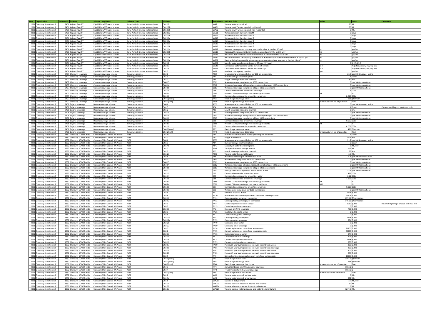| <b>Year   Organisation</b>             | Scheme ID Scheme                      | <b>Scheme Long Name</b>                | <b>Scheme Type</b>                                                       | <b>KPI Code</b> |                  | Swim Code Indicator Title                                                                          | Value                             | Units                             | <b>Comments</b>                          |
|----------------------------------------|---------------------------------------|----------------------------------------|--------------------------------------------------------------------------|-----------------|------------------|----------------------------------------------------------------------------------------------------|-----------------------------------|-----------------------------------|------------------------------------------|
| 2021 Cloncurry Shire Council           | 9406 Kajabbi Raw/PT                   | ajabbi Raw/PT water scheme             | Raw-Partially treated water scheme                                       | QG1.12          | WA7              | Volume water sourced: all                                                                          |                                   | 80 ML                             |                                          |
| 2021<br>Cloncurry Shire Council        | 9406 Kajabbi Raw/PT                   | Kajabbi Raw/PT water scheme            |                                                                          | QG1.17b         | WA91             |                                                                                                    |                                   | 80 ML                             |                                          |
|                                        |                                       |                                        | Raw-Partially treated water scheme<br>Raw-Partially treated water scheme |                 |                  | Volume raw-PT water supplied: residential                                                          |                                   | 0 ML                              |                                          |
| 2021<br>Cloncurry Shire Council        | 9406<br>ajabbi Raw/PT                 | ajabbi Raw/PT water scheme             |                                                                          | QG1.18b         | <b>WA92</b>      | Volume raw-PT water supplied: non-residential                                                      |                                   |                                   |                                          |
| 2021 Cloncurry Shire Council           | 9406 Kajabbi Raw/PT                   | Kajabbi Raw/PT water scheme            | Raw-Partially treated water scheme                                       | QG2.10a         | <b>WS11</b>      | Water restriction duration: PWCM                                                                   |                                   | 0 days                            |                                          |
| 2021<br>Cloncurry Shire Council        | ajabbi Raw/PT<br>9406                 | Kajabbi Raw/PT water scheme            | Raw-Partially treated water scheme                                       | QG2.10b         | <b>WS12</b>      | Water restriction duration: Level :                                                                |                                   | 0 days                            |                                          |
| 2021<br><b>Cloncurry Shire Council</b> | 9406 K<br>ajabbi Raw/PT               | Kajabbi Raw/PT water scheme            | Raw-Partially treated water scheme                                       | QG2.10c         | WS13             | Water restriction duration: Level 2                                                                |                                   | 0 days                            |                                          |
| 2021<br><b>Ioncurry Shire Council</b>  | ajabbi Raw/PT<br>9406                 | Kajabbi Raw/PT water scheme            | Raw-Partially treated water scheme                                       | QG2.10d         | <b>WS14</b>      | Water restriction duration: Level 3                                                                |                                   | days                              |                                          |
| <b>Cloncurry Shire Council</b><br>2021 | 9406 K<br>ajabbi Raw/PT               | Kajabbi Raw/PT water scheme            | Raw-Partially treated water scheme                                       | QG2.10e         | <b>WS15</b>      | Water restriction duration: Level 4                                                                |                                   | J days                            |                                          |
| 2021<br>Cloncurry Shire Council        | 9406<br>ajabbi Raw/PT                 | Kajabbi Raw/PT water scheme            | Raw-Partially treated water scheme                                       | QG2.10f         | <b>WS16</b>      | Water restriction duration: Level 5                                                                |                                   | days                              |                                          |
| 2021<br><b>Cloncurry Shire Council</b> | 9406 Kajabbi Raw/PT                   | Kajabbi Raw/PT water scheme            | Raw-Partially treated water scheme                                       | QG2.11a         | <b>WS17</b>      | Has asset management planning been undertaken in the last 10 yrs?                                  |                                   | yes/no                            |                                          |
| 202<br><b>Ioncurry Shire Council</b>   | 9406<br>ajabbi Raw/PT                 | Kajabbi Raw/PT water scheme            | Raw-Partially treated water scheme                                       | 2G2.11b         | <b>WS18</b>      | Has drought management planning been undertaken in the last 10 yrs?                                |                                   | yes/no                            |                                          |
| <b>Cloncurry Shire Council</b><br>2021 | 9406 Kajabbi Raw/PT                   | Kajabbi Raw/PT water scheme            | Raw-Partially treated water scheme                                       | QG2.11c         | <b>WS19</b>      | Has water demand forecasts been developed or reviewed in the last 5 yrs?                           |                                   | yes/no                            |                                          |
| 2021<br><b>Ioncurry Shire Council</b>  | ajabbi Raw/PT<br>9406                 | Kajabbi Raw/PT water scheme            | Raw-Partially treated water scheme                                       | QG2.11d         | <b>WS20</b>      | Has assessment of key capacity constraints of water infrastructure been undertaken in last 10 yrs? |                                   | yes/no                            |                                          |
| 2021<br>Cloncurry Shire Council        | 9406 Kajabbi Raw/PT                   | Kajabbi Raw/PT water scheme            | Raw-Partially treated water scheme                                       | QG2.11e         | <b>WS21</b>      | Has the timing for potential future supply augmentation been assessed in the last 10 yrs?          |                                   | yes/no                            |                                          |
| 2021<br>Ioncurry Shire Council         | ajabbi Raw/PT<br>9406                 | Kajabbi Raw/PT water scheme            | Raw-Partially treated water scheme                                       | QG2.12          | <b>WS22</b>      | Months water supply remaining as at 30 June (KPI level)                                            |                                   | 1.2.3.4.5.6                       |                                          |
| 2021<br>Cloncurry Shire Council        | 9406 Kajabbi Raw/PT                   | Kajabbi Raw/PT water scheme            | Raw-Partially treated water scheme                                       | QG2.13          | WS23             | Confidence water demand will be met: next 18 mths                                                  |                                   | nigh, fair, unsure, low, very low |                                          |
| 2021<br>Cloncurry Shire Council        | 9406 K<br>ajabbi Raw/PT               | Kaiabbi Raw/PT water scheme            | Raw-Partially treated water scheme                                       | QG2.14          | <b>WS24</b>      | Confidence water demand will be met: next 5 yrs                                                    | fair                              | high.fair.unsure.low.very low     |                                          |
| 2021<br>Cloncurry Shire Council        | 9406 K<br>(ajabbi Raw/PT              | Kajabbi Raw/PT water scheme            | Raw-Partially treated water scheme                                       | QG2.3           | WS3              | Available contingency supplies                                                                     |                                   | yes/no                            |                                          |
| 2021<br><b>Cloncurry Shire Council</b> | 9407<br>loncurry sewerage             | Cloncurry sewerage scheme              | Sewerage scheme                                                          | QG4.6           | AS39             | Sewerage mains breaks/chokes per 100 km sewer main                                                 |                                   | 23.3 per 100 km sewer mains       |                                          |
| 2021<br><b>Cloncurry Shire Council</b> | 9407<br>loncurry sewerage             | Cloncurry sewerage scheme              | Sewerage scheme                                                          | QG1.3           | AS4              | Number sewage treatment plants                                                                     |                                   | Count                             |                                          |
| 2021<br><b>Cloncurry Shire Council</b> | 9407<br>loncurry sewerage             | loncurry sewerage scheme               | Sewerage scheme                                                          | QG1.2           | AS5              | Length sewerage mains and channels                                                                 |                                   | 30 km                             |                                          |
| 2021 Cloncurry Shire Council           | 9407 0<br>Cloncurry sewerage          | Cloncurry sewerage scheme              | Sewerage scheme                                                          | QG4.13          | CS11             | Sewerage service complaints per 1000 connections                                                   |                                   | 0 per 1000 connections            |                                          |
| 2021                                   |                                       |                                        |                                                                          | QG4.14          | CS <sub>12</sub> |                                                                                                    |                                   | 0 per 1000 connections            |                                          |
| Cloncurry Shire Council                | 9407<br>loncurry sewerage             | Cloncurry sewerage scheme              | Sewerage scheme                                                          |                 |                  | Water and sewerage billing and account complaints per 1000 connections                             |                                   |                                   |                                          |
| 2021<br><b>Cloncurry Shire Council</b> | 9407<br>loncurry sewerage             | Cloncurry sewerage scheme              | Sewerage scheme                                                          | QG4.11          | CS13             | Water and sewerage complaints (all) per 1000 connections                                           |                                   | 0 per 1000 connections            |                                          |
| 2021<br><b>Cloncurry Shire Council</b> | 9407<br>loncurry sewerage             | Cloncurry sewerage scheme              | Sewerage scheme                                                          | QG1.15          | CS <sub>6</sub>  | Connected residential properties: sewerage                                                         |                                   | 1.5 000s                          |                                          |
| 2021<br>Cloncurry Shire Council        | 9407<br>oncurry sewerage              | loncurry sewerage scheme               | Sewerage scheme                                                          | QG4.9a          | <b>CS65</b>      | Percent CSS response target met: sewerage incidents                                                |                                   |                                   |                                          |
| 2021<br><b>Cloncurry Shire Council</b> | 9407<br>loncurry sewerage             | Cloncurry sewerage scheme              | Sewerage scheme                                                          | QG1.16          | CS7              | Connected non-residential properties: sewerage                                                     | 0.019 000s                        |                                   |                                          |
| 2021<br>Cloncurry Shire Council        | 9407<br>oncurry sewerage              | loncurry sewerage scheme               | Sewerage scheme                                                          | QG4.2(value)    | PR31             | Fixed charge: sewerage value                                                                       |                                   | 556 \$/annum                      |                                          |
| 2021<br>Cloncurry Shire Council        | 9407<br>loncurry sewerage             | Ioncurry sewerage scheme               | Sewerage scheme                                                          | QG4.2(text)     | <b>PR40</b>      | Fixed charge: sewerage description                                                                 | infrastructure + No. of pedestals | Text                              |                                          |
| 2021<br><b>Cloncurry Shire Council</b> | 9408<br>ajarra sewerage               | Jajarra sewerage scheme                | Sewerage scheme                                                          | QG4.6           | AS39             | Sewerage mains breaks/chokes per 100 km sewer main                                                 |                                   | per 100 km sewer mains            |                                          |
| 2021<br>Cloncurry Shire Council        | 9408 <sub>D</sub><br>Jajarra sewerage | Dajarra sewerage scheme                | Sewerage scheme                                                          | QG1.3           | AS4              | Number sewage treatment plants                                                                     |                                   | Count                             | Conventional lagoon treatment only       |
| 2021<br><b>Cloncurry Shire Council</b> | 9408<br>ajarra sewerage               | Dajarra sewerage scheme                | Sewerage scheme                                                          | QG1.2           | AS5              | Length sewerage mains and channels                                                                 |                                   |                                   |                                          |
| 2021 Cloncurry Shire Council           | 9408 <sub>D</sub><br>Jajarra sewerage | Jajarra sewerage scheme                | Sewerage scheme                                                          | QG4.13          | CS11             | Sewerage service complaints per 1000 connections                                                   |                                   | per 1000 connections              |                                          |
| 2021 Cloncurry Shire Council           | 9408<br>ajarra sewerage               | Dajarra sewerage scheme                | Sewerage scheme                                                          | QG4.14          | CS12             | Water and sewerage billing and account complaints per 1000 connections                             |                                   | per 1000 connections              |                                          |
| 2021 Cloncurry Shire Council           | 9408 Dajarra sewerage                 | Dajarra sewerage scheme                | Sewerage scheme                                                          | QG4.11          | CS13             | Water and sewerage complaints (all) per 1000 connections                                           |                                   | per 1000 connections              |                                          |
|                                        | 9408                                  |                                        |                                                                          | QG1.15          | CS6              |                                                                                                    | 0.072 000s                        |                                   |                                          |
| 2021<br><b>Ioncurry Shire Council</b>  | ajarra sewerage                       | ajarra sewerage scheme                 | Sewerage scheme                                                          | QG4.9a          | <b>CS65</b>      | Connected residential properties: sewerag                                                          |                                   |                                   |                                          |
| 2021 Cloncurry Shire Council           | 9408 Dajarra sewerage                 | Dajarra sewerage scheme                | Sewerage scheme                                                          |                 |                  | Percent CSS response target met: sewerage incidents                                                |                                   |                                   |                                          |
| 2021<br>Cloncurry Shire Council        | 9408<br>ajarra sewerage               | Dajarra sewerage scheme                | Sewerage scheme                                                          | QG1.16          | CS7              | Connected non-residential properties: sewerage                                                     | 0.006 000s                        |                                   |                                          |
| 2021<br>Cloncurry Shire Council        | 9408 <sub>D</sub><br>Jajarra sewerage | Dajarra sewerage scheme                | Sewerage scheme                                                          | QG4.2(value)    | PR31             | Fixed charge: sewerage value                                                                       |                                   | 476 \$/annum                      |                                          |
| 2021<br>Cloncurry Shire Council        | 9408 <sub>D</sub><br>ajarra sewerage  | Dajarra sewerage scheme                | Sewerage scheme                                                          | QG4.2(text)     | <b>PR40</b>      | Fixed charge: sewerage description                                                                 | infrastructure + no. of pedestals | Text                              |                                          |
| 2021<br>Cloncurry Shire Council        | loncurry SC WSP-wide<br>1332          | loncurry Shire Council WSP-wide        | WSP                                                                      | QG1.4a          |                  | Number water treatment plants: providing full treatment                                            |                                   | Count                             |                                          |
| 2021<br>Cloncurry Shire Council        | Cloncurry SC WSP-wide<br>1332 C       | Cloncurry Shire Council WSP-wide       | <b>WSP</b>                                                               | QG1.1           | AS <sub>2</sub>  | Length water mains                                                                                 | 56.4 km                           |                                   |                                          |
| 2021<br>Cloncurry Shire Council        | 1332 Cloncurry SC WSP-wide            | Cloncurry Shire Council WSP-wide       | <b>WSP</b>                                                               | QG4.6           | AS39             | Sewerage mains breaks/chokes per 100 km sewer main                                                 |                                   | 21.2 per 100 km sewer mains       |                                          |
| 2021<br>Cloncurry Shire Council        | loncurry SC WSP-wide                  | loncurry Shire Council WSP-wide        | <b>WSP</b>                                                               | QG1.3           | AS4              | Number sewage treatment plants                                                                     |                                   | 2 Count                           |                                          |
| 2021 Cloncurry Shire Council           | 1332 Cloncurry SC WSP-wide            | loncurry Shire Council WSP-wide        | <b>WSP</b>                                                               | QG1.4b          | AS47             | Capacity of water treatment plants                                                                 |                                   | 9 ML/dav                          |                                          |
| 2021<br><b>Cloncurry Shire Council</b> | loncurry SC WSP-wide<br>1332          | loncurry Shire Council WSP-wide        | <b>WSP</b>                                                               | QG1.7           | AS48             | Total potable water storage volume                                                                 |                                   | 6.3 ML                            |                                          |
| 2021 Cloncurry Shire Council           | 1332 C<br>Cloncurry SC WSP-wide       | loncurry Shire Council WSP-wide        | <b>WSP</b>                                                               | QG1.2           | AS5              | Length sewerage mains and channels                                                                 |                                   | 33 km                             |                                          |
| 2021<br><b>Cloncurry Shire Council</b> | loncurry SC WSP-wide<br>1332 0        | Cloncurry Shire Council WSP-wide       | <b>WSP</b>                                                               | QG1.23          | AS56             | Volume water lost: potable water                                                                   |                                   | 3.6 ML                            |                                          |
|                                        |                                       |                                        |                                                                          |                 |                  |                                                                                                    |                                   |                                   |                                          |
| 2021<br><b>Cloncurry Shire Council</b> | loncurry SC WSP-wide<br>1332          | Ioncurry Shire Council WSP-wide        | <b>WSP</b>                                                               | QG4.5           | AS8              | Water main breaks per 100 km water main                                                            |                                   | 5.3 per 100 km water main         |                                          |
| 2021 Cloncurry Shire Council           | 1332 Cloncurry SC WSP-wide            | loncurry Shire Council WSP-wide        | <b>WSP</b>                                                               | QG4.12          | <b>CS10</b>      | Water service complaints per 1000 connections                                                      |                                   | 0 per 1000 connections            |                                          |
| 2021 Cloncurry Shire Council           | 1332 0<br>loncurry SC WSP-wide        | loncurry Shire Council WSP-wide        | <b>WSP</b>                                                               | QG4.13          | CS11             | Sewerage service complaints per 1000 connections                                                   |                                   | 0 per 1000 connections            |                                          |
| 2021<br>Cloncurry Shire Council        | loncurry SC WSP-wide<br>1332          | Ioncurry Shire Council WSP-wide        | <b>WSP</b>                                                               | QG4.14          | CS <sub>12</sub> | Water and sewerage billing and account complaints per 1000 connections                             |                                   | per 1000 connections              |                                          |
| 2021<br>Cloncurry Shire Council        | loncurry SC WSP-wide<br>1332          | loncurry Shire Council WSP-wide        | <b>WSP</b>                                                               | QG4.11          | CS <sub>13</sub> | Water and sewerage complaints (all) per 1000 connections                                           |                                   | per 1000 connections              |                                          |
| 2021<br>Cloncurry Shire Council        | oncurry SC WSP-wide<br>1332           | <b>Ioncurry Shire Council WSP-wide</b> | <b>WSP</b>                                                               | QG4.7           | CS17             | Average frequency unplanned interruptions: water                                                   |                                   | 33.3 per 1000 connections         |                                          |
| 2021<br><b>Cloncurry Shire Council</b> | 1332 C<br>Cloncurry SC WSP-wide       | Cloncurry Shire Council WSP-wide       | <b>WSP</b>                                                               | QG1.13          | CS <sub>2</sub>  | Connected residential properties: water                                                            | 1.493 000s                        |                                   |                                          |
| 2021<br><b>Cloncurry Shire Council</b> | 1332 Cloncurry SC WSP-wide            | loncurry Shire Council WSP-wide        | <b>WSP</b>                                                               | QG1.14          | CS3              | Connected non-residential properties: water                                                        |                                   | 0.11 000s                         |                                          |
| 2021<br><b>Ioncurry Shire Council</b>  | oncurry SC WSP-wide                   | Ioncurry Shire Council WSP-wide        | <b>WSP</b>                                                               | QG1.15          |                  | Connected residential properties: sewerage                                                         | 1.572 000s                        |                                   |                                          |
| 2021 Cloncurry Shire Council           | Cloncurry SC WSP-wide<br>1332 C       | Cloncurry Shire Council WSP-wide       | <b>WSP</b>                                                               | QG4.9a          | CS65             | Percent CSS response target met: sewerage incidents                                                |                                   |                                   |                                          |
| 2021 Cloncurry Shire Council           | 1332 0<br>loncurry SC WSP-wide        | Cloncurry Shire Council WSP-wide       | <b>WSP</b>                                                               | QG4.8a          | CS66             | Percent CSS response target met: water incidents                                                   | <b>MD</b>                         |                                   |                                          |
| 2021 Cloncurry Shire Council           | 1332 Cloncurry SC WSP-wide            | loncurry Shire Council WSP-wide        | WSP                                                                      | QG1.16          | CS7              | Connected non-residential properties: sewerage                                                     | 0.025 000s                        |                                   |                                          |
| 2021 Cloncurry Shire Council           | 1332<br>loncurry SC WSP-wide          | Cloncurry Shire Council WSP-wide       | <b>WSP</b>                                                               | QG4.10          | CS <sub>9</sub>  | Water quality complaints per 1000 connections                                                      |                                   | 0 per 1000 connections            |                                          |
| 2021 Cloncurry Shire Council           | Cloncurry SC WSP-wide<br>1332 C       | Cloncurry Shire Council WSP-wide       | WSP                                                                      | QG3.9           | FN1              | Revenue: all (NPR) water                                                                           |                                   | 2926 \$,000                       |                                          |
| 2021 Cloncurry Shire Council           | 1332 Cloncurry SC WSP-wide            | Cloncurry Shire Council WSP-wide       | <b>WSP</b>                                                               | QG3.6           | <b>FN10</b>      | Nominal written down replacement cost: fixed sewerage assets                                       |                                   | 11704 \$,000                      |                                          |
| 2021 Cloncurry Shire Council           | 1332 Cloncurry SC WSP-wide            | Cloncurry Shire Council WSP-wide       | <b>WSP</b>                                                               | QG3.11          | <b>FN11</b>      | Costs: operating water per connection                                                              |                                   | 697.44 \$/connection              |                                          |
|                                        |                                       |                                        | <b>WSP</b>                                                               | QG3.12          | <b>FN12</b>      |                                                                                                    |                                   |                                   |                                          |
| 2021<br>Cloncurry Shire Council        | loncurry SC WSP-wide<br>1332          | Cloncurry Shire Council WSP-wide       |                                                                          |                 |                  | Costs: operating sewerage per connection                                                           |                                   | 146.52 \$/connection              |                                          |
| 2021 Cloncurry Shire Council           | 1332 Cloncurry SC WSP-wide            | Cloncurry Shire Council WSP-wide       | WSP                                                                      | QG3.1           | <b>FN14</b>      | Capital expenditure: water supply                                                                  |                                   | 1030 \$,000                       | Dajarra RO plant purchased and installed |
| 2021<br><b>Cloncurry Shire Council</b> | loncurry SC WSP-wide<br>1332          | loncurry Shire Council WSP-wide        | <b>WSP</b>                                                               | QG3.2           | <b>FN15</b>      | Capital expenditure: sewerage                                                                      |                                   | $0$ \$,000                        |                                          |
| 2021 Cloncurry Shire Council           | 1332 Cloncurry SC WSP-wide            | Cloncurry Shire Council WSP-wide       | <b>WSP</b>                                                               | QG3.10          | FN <sub>2</sub>  | Revenue: all (NPR) sewerage                                                                        |                                   | 735 \$,000                        |                                          |
| 2021 Cloncurry Shire Council           | 1332 Cloncurry SC WSP-wide            | Cloncurry Shire Council WSP-wide       | <b>WSP</b>                                                               | QG3.3           | <b>FN26</b>      | Capital works grants: water                                                                        |                                   | $0$ \$,000                        |                                          |
| 2021 Cloncurry Shire Council           | 1332 Cloncurry SC WSP-wide            | Cloncurry Shire Council WSP-wide       | WSP                                                                      | QG3.4           | <b>FN27</b>      | Capital works grants: sewerage                                                                     |                                   | 0,5,000                           |                                          |
| 2021 Cloncurry Shire Council           | Cloncurry SC WSP-wide<br>1332 C       | loncurry Shire Council WSP-wide        | WSP                                                                      | QG3.11a         | <b>FN32</b>      | Costs: operating water (NPR)                                                                       |                                   | 1118 \$,000                       |                                          |
| 2021 Cloncurry Shire Council           | 1332 0<br>loncurry SC WSP-wide        | Cloncurry Shire Council WSP-wide       | <b>WSP</b>                                                               | QG3.12a         | <b>FN33</b>      | Costs: operating sewerage                                                                          |                                   | 234 \$,000                        |                                          |
| 2021 Cloncurry Shire Council           | Cloncurry SC WSP-wide<br>1332 C       | Cloncurry Shire Council WSP-wide       | WSP                                                                      | QG3.21          | <b>FN49</b>      | Costs: any other water                                                                             |                                   | $0$ \$.000                        |                                          |
| 2021 Cloncurry Shire Council           | 1332 Cloncurry SC WSP-wide            | Cloncurry Shire Council WSP-wide       | <b>WSP</b>                                                               | QG3.22          | <b>FN50</b>      | Costs: any other sewerage                                                                          |                                   | 0.5,000                           |                                          |
| 2021 Cloncurry Shire Council           | loncurry SC WSP-wide<br>1332 0        | loncurry Shire Council WSP-wide        | WSP                                                                      | QG3.7           | <b>FN74</b>      | Current replacement costs: fixed water assets                                                      |                                   | 61300 \$,000                      |                                          |
| 2021 Cloncurry Shire Council           | 1332 Cloncurry SC WSP-wide            | Cloncurry Shire Council WSP-wide       | WSP                                                                      | QG3.8           | <b>FN75</b>      | Current replacement costs: fixed sewerage assets                                                   |                                   | 20375 \$,000                      |                                          |
| 2021 Cloncurry Shire Council           | 1332 Cloncurry SC WSP-wide            | Cloncurry Shire Council WSP-wide       | WSP                                                                      | QG3.13          | <b>FN76</b>      | Costs: maintenance water                                                                           |                                   | 847 \$,000                        |                                          |
| 2021<br>Cloncurry Shire Council        | loncurry SC WSP-wide<br>1332          | Ioncurry Shire Council WSP-wide        | <b>WSP</b>                                                               | QG3.14          | <b>FN77</b>      | Costs: maintenance sewerage                                                                        |                                   | 109 \$,000                        |                                          |
| 2021 Cloncurry Shire Council           | 1332 Cloncurry SC WSP-wide            | Cloncurry Shire Council WSP-wide       | WSP                                                                      | QG3.15          | <b>FN78</b>      | Current cost depreciation: water                                                                   |                                   | 1148 \$,000                       |                                          |
| 2021<br><b>Cloncurry Shire Council</b> | loncurry SC WSP-wide<br>1332          | loncurry Shire Council WSP-wide        | <b>WSP</b>                                                               | QG3.16          | <b>FN79</b>      | Current cost depreciation: sewerage                                                                |                                   | 250 \$,000                        |                                          |
| 2021 Cloncurry Shire Council           | 1332 Cloncurry SC WSP-wide            | Cloncurry Shire Council WSP-wide       | WSP                                                                      | QG3.17          | <b>FN80</b>      | Previous 5 year average annual renewals expenditure: water                                         |                                   | 300 \$,000                        |                                          |
| 2021<br><b>Cloncurry Shire Council</b> | loncurry SC WSP-wide<br>1332          | loncurry Shire Council WSP-wide        | <b>WSP</b>                                                               | QG3.18          | <b>FN81</b>      | Previous 5 year average annual renewals expenditure: sewerage                                      |                                   | 200 \$,000                        |                                          |
| 2021 Cloncurry Shire Council           | 1332 Cloncurry SC WSP-wide            | Cloncurry Shire Council WSP-wide       | WSP                                                                      | QG3.19          | FN82             | Forecast 5 year average annual renewals expenditure: water                                         |                                   | 300 \$,000                        |                                          |
| 2021 Cloncurry Shire Council           | loncurry SC WSP-wide<br>1332 0        | loncurry Shire Council WSP-wide        | <b>WSP</b>                                                               | QG3.20          | <b>FN83</b>      | Forecast 5 year average annual renewals expenditure: sewerage                                      |                                   | 200 \$,000                        |                                          |
| 2021 Cloncurry Shire Council           | 1332 Cloncurry SC WSP-wide            |                                        |                                                                          | QG3.5           | FN9              |                                                                                                    |                                   | 40206 \$,000                      |                                          |
|                                        |                                       | Cloncurry Shire Council WSP-wide       | WSP                                                                      |                 |                  | Nominal written down replacement cost: fixed water assets                                          |                                   |                                   |                                          |
| 2021 Cloncurry Shire Council           | loncurry SC WSP-wide<br>1332          | loncurry Shire Council WSP-wide        | <b>WSP</b>                                                               | QG4.1(value)    | PR3              | Fixed charge: water value                                                                          |                                   | 1107.2 \$/annum                   |                                          |
| 2021 Cloncurry Shire Council           | 1332 Cloncurry SC WSP-wide            | Cloncurry Shire Council WSP-wide       | <b>WSP</b>                                                               | QG4.2(value)    | PR31             | Fixed charge: sewerage value                                                                       |                                   | 556 \$/annum                      |                                          |
| 2021 Cloncurry Shire Council           | loncurry SC WSP-wide<br>1332          | loncurry Shire Council WSP-wide        | <b>WSP</b>                                                               | QG4.2(text)     | <b>PR40</b>      | Fixed charge: sewerage description                                                                 | nfrastructure + no. of pedestals  | Text                              |                                          |
| 2021 Cloncurry Shire Council           | 1332 Cloncurry SC WSP-wide            | Cloncurry Shire Council WSP-wide       | WSP                                                                      | QG4.3           | <b>PR47</b>      | Annual bill based on 200kL/a: water+sewerage                                                       | 1663.2                            |                                   |                                          |
| 2021<br>Cloncurry Shire Council        | Cloncurry SC WSP-wide<br>1332 C       | Cloncurry Shire Council WSP-wide       | WSP                                                                      | QG4.4           | <b>PR48</b>      | Typical residential bill: water+sewerage                                                           | 1663.2 \$                         |                                   |                                          |
| 2021<br><b>Cloncurry Shire Council</b> | Cloncurry SC WSP-wide<br>1332 C       | Cloncurry Shire Council WSP-wide       | WSP                                                                      | QG4.1(text)     | PR5              | Fixed charge: water description                                                                    | nfrastructure and Allowance       | Text                              |                                          |
| 2021 Cloncurry Shire Council           | 1332 Cloncurry SC WSP-wide            | Cloncurry Shire Council WSP-wide       | WSP                                                                      | QG1.8           | WA1              | Volume water sourced: surface water                                                                |                                   | 0 ML                              |                                          |
| 2021<br><b>Cloncurry Shire Council</b> | 1332 0<br>loncurry SC WSP-wide        | loncurry Shire Council WSP-wide        | <b>WSP</b>                                                               | QG1.9a          | WA2              | Volume water sourced: groundwater                                                                  |                                   | 982 ML                            |                                          |
| 2021<br>Cloncurry Shire Council        | loncurry SC WSP-wide<br>1332 0        | Cloncurry Shire Council WSP-wide       | WSP                                                                      | QG1.5           | WA201            | Maximum daily demand                                                                               |                                   | 3.7 ML/day                        |                                          |
| <b>Cloncurry Shire Council</b><br>2021 | loncurry SC WSP-wide<br>1332 0        | loncurry Shire Council WSP-wide        | <b>WSP</b>                                                               | QG1.21          | <b>WA223</b>     | Volume all water imported: internal and external                                                   |                                   | 60 ML                             |                                          |
| 2021 Cloncurry Shire Council           | 1332 Cloncurry SC WSP-wide            | Cloncurry Shire Council WSP-wide       | WSP                                                                      | QG1.22          | <b>WA224</b>     | Volume all water exported: internal and external                                                   |                                   | 0 ML                              |                                          |
| 2021 Cloncurry Shire Council           | 1332 Cloncurry SC WSP-wide            | Cloncurry Shire Council WSP-wide       | <b>WSP</b>                                                               | QG1.6a          | <b>WA225</b>     | Volume potable water produced at a water treatment plant                                           | 1277.5 ML                         |                                   |                                          |
|                                        |                                       |                                        |                                                                          |                 |                  |                                                                                                    |                                   |                                   |                                          |